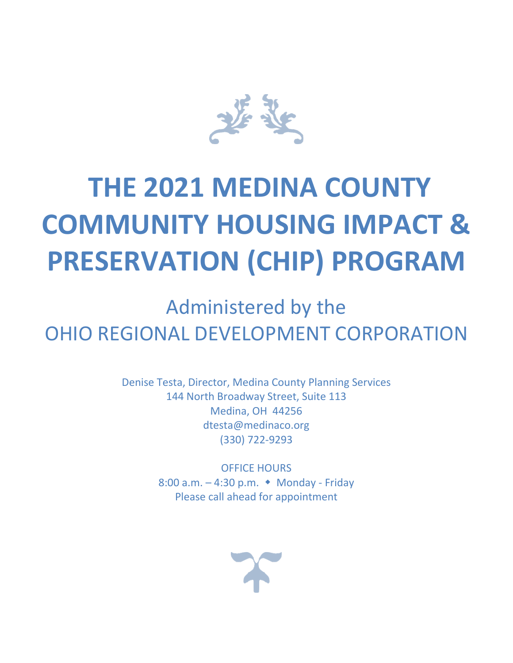

# **THE 2021 MEDINA COUNTY COMMUNITY HOUSING IMPACT & PRESERVATION (CHIP) PROGRAM**

Administered by the OHIO REGIONAL DEVELOPMENT CORPORATION

> Denise Testa, Director, Medina County Planning Services 144 North Broadway Street, Suite 113 Medina, OH 44256 dtesta@medinaco.org (330) 722-9293

> > OFFICE HOURS 8:00 a.m.  $-$  4:30 p.m.  $\bullet$  Monday - Friday Please call ahead for appointment

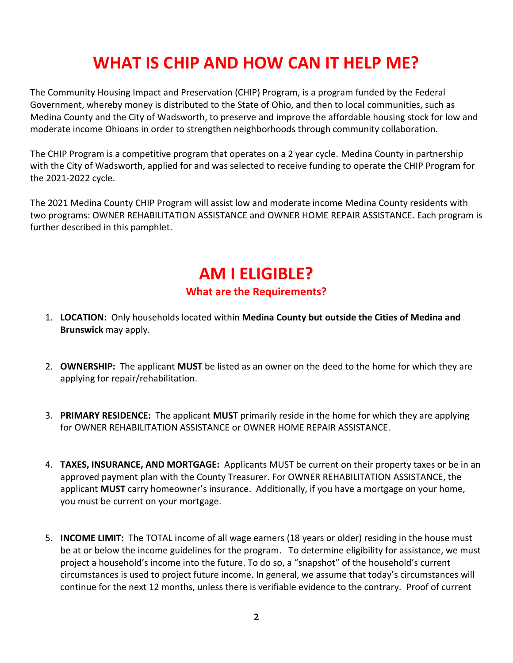## **WHAT IS CHIP AND HOW CAN IT HELP ME?**

The Community Housing Impact and Preservation (CHIP) Program, is a program funded by the Federal Government, whereby money is distributed to the State of Ohio, and then to local communities, such as Medina County and the City of Wadsworth, to preserve and improve the affordable housing stock for low and moderate income Ohioans in order to strengthen neighborhoods through community collaboration.

The CHIP Program is a competitive program that operates on a 2 year cycle. Medina County in partnership with the City of Wadsworth, applied for and was selected to receive funding to operate the CHIP Program for the 2021-2022 cycle.

The 2021 Medina County CHIP Program will assist low and moderate income Medina County residents with two programs: OWNER REHABILITATION ASSISTANCE and OWNER HOME REPAIR ASSISTANCE. Each program is further described in this pamphlet.

### **AM I ELIGIBLE?**

### **What are the Requirements?**

- 1. **LOCATION:** Only households located within **Medina County but outside the Cities of Medina and Brunswick** may apply.
- 2. **OWNERSHIP:** The applicant **MUST** be listed as an owner on the deed to the home for which they are applying for repair/rehabilitation.
- 3. **PRIMARY RESIDENCE:** The applicant **MUST** primarily reside in the home for which they are applying for OWNER REHABILITATION ASSISTANCE or OWNER HOME REPAIR ASSISTANCE.
- 4. **TAXES, INSURANCE, AND MORTGAGE:** Applicants MUST be current on their property taxes or be in an approved payment plan with the County Treasurer. For OWNER REHABILITATION ASSISTANCE, the applicant **MUST** carry homeowner's insurance. Additionally, if you have a mortgage on your home, you must be current on your mortgage.
- 5. **INCOME LIMIT:** The TOTAL income of all wage earners (18 years or older) residing in the house must be at or below the income guidelines for the program. To determine eligibility for assistance, we must project a household's income into the future. To do so, a "snapshot" of the household's current circumstances is used to project future income. In general, we assume that today's circumstances will continue for the next 12 months, unless there is verifiable evidence to the contrary. Proof of current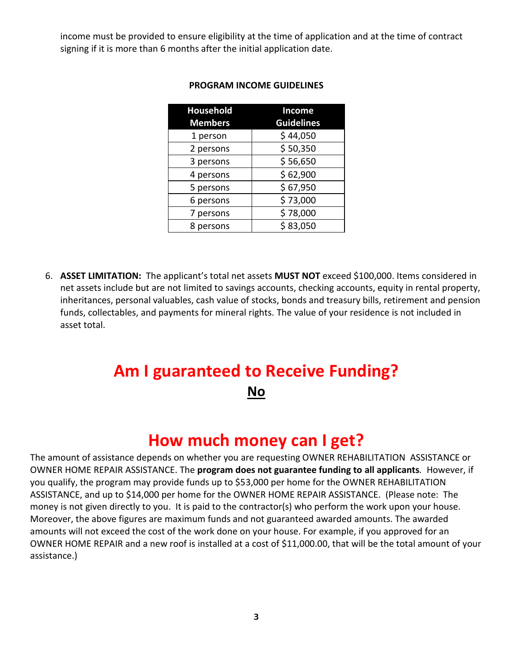income must be provided to ensure eligibility at the time of application and at the time of contract signing if it is more than 6 months after the initial application date.

| <b>Household</b><br><b>Members</b> | Income<br><b>Guidelines</b> |  |
|------------------------------------|-----------------------------|--|
| 1 person                           | \$44,050                    |  |
| 2 persons                          | \$50,350                    |  |
| 3 persons                          | \$56,650                    |  |
| 4 persons                          | \$62,900                    |  |
| 5 persons                          | \$67,950                    |  |
| 6 persons                          | \$73,000                    |  |
| 7 persons                          | \$78,000                    |  |
| persons                            | \$83,050                    |  |

#### **PROGRAM INCOME GUIDELINES**

6. **ASSET LIMITATION:** The applicant's total net assets **MUST NOT** exceed \$100,000. Items considered in net assets include but are not limited to savings accounts, checking accounts, equity in rental property, inheritances, personal valuables, cash value of stocks, bonds and treasury bills, retirement and pension funds, collectables, and payments for mineral rights. The value of your residence is not included in asset total.

### **Am I guaranteed to Receive Funding? No**

### **How much money can I get?**

The amount of assistance depends on whether you are requesting OWNER REHABILITATION ASSISTANCE or OWNER HOME REPAIR ASSISTANCE. The **program does not guarantee funding to all applicants***.* However, if you qualify, the program may provide funds up to \$53,000 per home for the OWNER REHABILITATION ASSISTANCE, and up to \$14,000 per home for the OWNER HOME REPAIR ASSISTANCE. (Please note: The money is not given directly to you. It is paid to the contractor(s) who perform the work upon your house. Moreover, the above figures are maximum funds and not guaranteed awarded amounts. The awarded amounts will not exceed the cost of the work done on your house. For example, if you approved for an OWNER HOME REPAIR and a new roof is installed at a cost of \$11,000.00, that will be the total amount of your assistance.)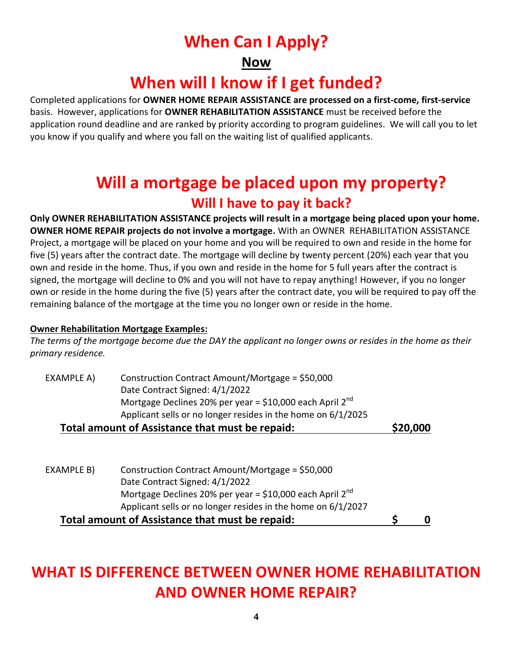## **When Can I Apply?**

### **Now**

### **When will I know if I get funded?**

Completed applications for **OWNER HOME REPAIR ASSISTANCE are processed on a first-come, first-service** basis. However, applications for **OWNER REHABILITATION ASSISTANCE** must be received before the application round deadline and are ranked by priority according to program guidelines. We will call you to let you know if you qualify and where you fall on the waiting list of qualified applicants.

### **Will a mortgage be placed upon my property? Will I have to pay it back?**

**Only OWNER REHABILITATION ASSISTANCE projects will result in a mortgage being placed upon your home. OWNER HOME REPAIR projects do not involve a mortgage.** With an OWNER REHABILITATION ASSISTANCE Project, a mortgage will be placed on your home and you will be required to own and reside in the home for five (5) years after the contract date. The mortgage will decline by twenty percent (20%) each year that you own and reside in the home. Thus, if you own and reside in the home for 5 full years after the contract is signed, the mortgage will decline to 0% and you will not have to repay anything! However, if you no longer own or reside in the home during the five (5) years after the contract date, you will be required to pay off the remaining balance of the mortgage at the time you no longer own or reside in the home.

#### **Owner Rehabilitation Mortgage Examples:**

*The terms of the mortgage become due the DAY the applicant no longer owns or resides in the home as their primary residence.*

| \$20,000 |
|----------|
|          |
|          |

|            | Total amount of Assistance that must be repaid:               |  |
|------------|---------------------------------------------------------------|--|
|            | Applicant sells or no longer resides in the home on 6/1/2027  |  |
|            | Mortgage Declines 20% per year = \$10,000 each April $2^{nd}$ |  |
|            | Date Contract Signed: 4/1/2022                                |  |
| EXAMPLE B) | Construction Contract Amount/Mortgage = \$50,000              |  |

### **WHAT IS DIFFERENCE BETWEEN OWNER HOME REHABILITATION AND OWNER HOME REPAIR?**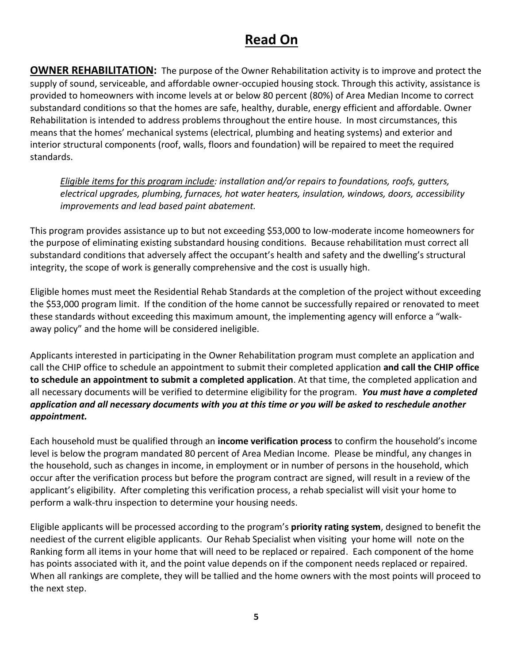### **Read On**

**OWNER REHABILITATION:** The purpose of the Owner Rehabilitation activity is to improve and protect the supply of sound, serviceable, and affordable owner-occupied housing stock. Through this activity, assistance is provided to homeowners with income levels at or below 80 percent (80%) of Area Median Income to correct substandard conditions so that the homes are safe, healthy, durable, energy efficient and affordable. Owner Rehabilitation is intended to address problems throughout the entire house. In most circumstances, this means that the homes' mechanical systems (electrical, plumbing and heating systems) and exterior and interior structural components (roof, walls, floors and foundation) will be repaired to meet the required standards.

*Eligible items for this program include: installation and/or repairs to foundations, roofs, gutters, electrical upgrades, plumbing, furnaces, hot water heaters, insulation, windows, doors, accessibility improvements and lead based paint abatement.*

This program provides assistance up to but not exceeding \$53,000 to low-moderate income homeowners for the purpose of eliminating existing substandard housing conditions. Because rehabilitation must correct all substandard conditions that adversely affect the occupant's health and safety and the dwelling's structural integrity, the scope of work is generally comprehensive and the cost is usually high.

Eligible homes must meet the Residential Rehab Standards at the completion of the project without exceeding the \$53,000 program limit. If the condition of the home cannot be successfully repaired or renovated to meet these standards without exceeding this maximum amount, the implementing agency will enforce a "walkaway policy" and the home will be considered ineligible.

Applicants interested in participating in the Owner Rehabilitation program must complete an application and call the CHIP office to schedule an appointment to submit their completed application **and call the CHIP office to schedule an appointment to submit a completed application**. At that time, the completed application and all necessary documents will be verified to determine eligibility for the program. *You must have a completed application and all necessary documents with you at this time or you will be asked to reschedule another appointment.*

Each household must be qualified through an **income verification process** to confirm the household's income level is below the program mandated 80 percent of Area Median Income. Please be mindful, any changes in the household, such as changes in income, in employment or in number of persons in the household, which occur after the verification process but before the program contract are signed, will result in a review of the applicant's eligibility. After completing this verification process, a rehab specialist will visit your home to perform a walk-thru inspection to determine your housing needs.

Eligible applicants will be processed according to the program's **priority rating system**, designed to benefit the neediest of the current eligible applicants. Our Rehab Specialist when visiting your home will note on the Ranking form all items in your home that will need to be replaced or repaired. Each component of the home has points associated with it, and the point value depends on if the component needs replaced or repaired. When all rankings are complete, they will be tallied and the home owners with the most points will proceed to the next step.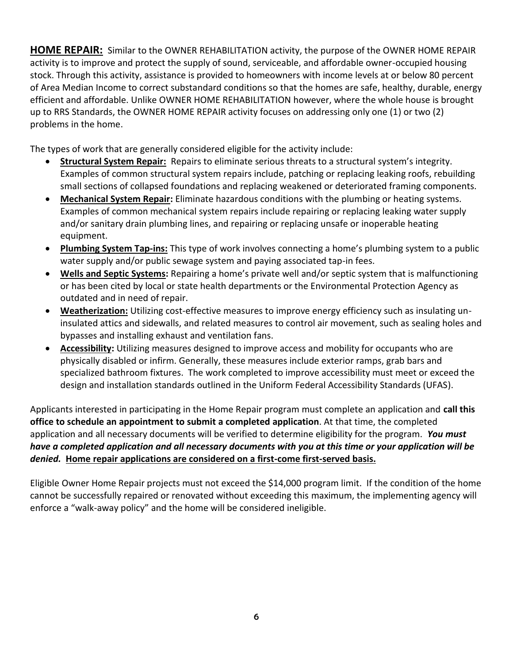**HOME REPAIR:** Similar to the OWNER REHABILITATION activity, the purpose of the OWNER HOME REPAIR activity is to improve and protect the supply of sound, serviceable, and affordable owner-occupied housing stock. Through this activity, assistance is provided to homeowners with income levels at or below 80 percent of Area Median Income to correct substandard conditions so that the homes are safe, healthy, durable, energy efficient and affordable. Unlike OWNER HOME REHABILITATION however, where the whole house is brought up to RRS Standards, the OWNER HOME REPAIR activity focuses on addressing only one (1) or two (2) problems in the home.

The types of work that are generally considered eligible for the activity include:

- **Structural System Repair:** Repairs to eliminate serious threats to a structural system's integrity. Examples of common structural system repairs include, patching or replacing leaking roofs, rebuilding small sections of collapsed foundations and replacing weakened or deteriorated framing components.
- **Mechanical System Repair:** Eliminate hazardous conditions with the plumbing or heating systems. Examples of common mechanical system repairs include repairing or replacing leaking water supply and/or sanitary drain plumbing lines, and repairing or replacing unsafe or inoperable heating equipment.
- **Plumbing System Tap-ins:** This type of work involves connecting a home's plumbing system to a public water supply and/or public sewage system and paying associated tap-in fees.
- **Wells and Septic Systems:** Repairing a home's private well and/or septic system that is malfunctioning or has been cited by local or state health departments or the Environmental Protection Agency as outdated and in need of repair.
- **Weatherization:** Utilizing cost-effective measures to improve energy efficiency such as insulating uninsulated attics and sidewalls, and related measures to control air movement, such as sealing holes and bypasses and installing exhaust and ventilation fans.
- **Accessibility:** Utilizing measures designed to improve access and mobility for occupants who are physically disabled or infirm. Generally, these measures include exterior ramps, grab bars and specialized bathroom fixtures. The work completed to improve accessibility must meet or exceed the design and installation standards outlined in the Uniform Federal Accessibility Standards (UFAS).

Applicants interested in participating in the Home Repair program must complete an application and **call this office to schedule an appointment to submit a completed application**. At that time, the completed application and all necessary documents will be verified to determine eligibility for the program. *You must have a completed application and all necessary documents with you at this time or your application will be denied.* **Home repair applications are considered on a first-come first-served basis.**

Eligible Owner Home Repair projects must not exceed the \$14,000 program limit. If the condition of the home cannot be successfully repaired or renovated without exceeding this maximum, the implementing agency will enforce a "walk-away policy" and the home will be considered ineligible.